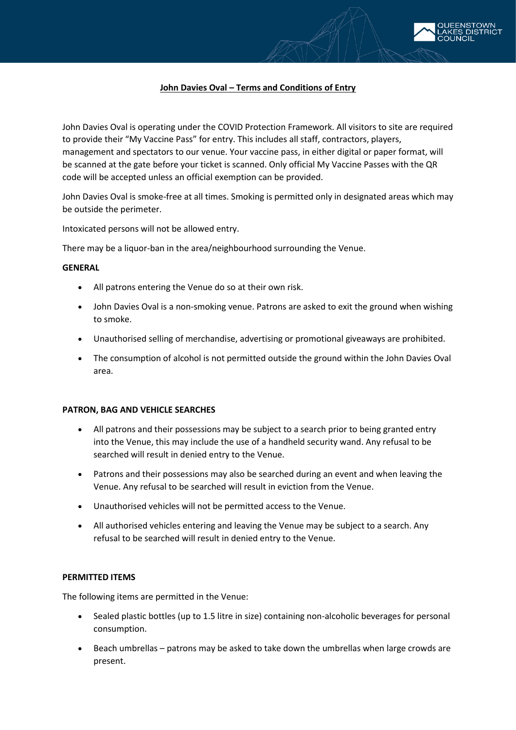

# **John Davies Oval – Terms and Conditions of Entry**

John Davies Oval is operating under the COVID Protection Framework. All visitors to site are required to provide their "My Vaccine Pass" for entry. This includes all staff, contractors, players, management and spectators to our venue. Your vaccine pass, in either digital or paper format, will be scanned at the gate before your ticket is scanned. Only official My Vaccine Passes with the QR code will be accepted unless an official exemption can be provided.

John Davies Oval is smoke-free at all times. Smoking is permitted only in designated areas which may be outside the perimeter.

Intoxicated persons will not be allowed entry.

There may be a liquor-ban in the area/neighbourhood surrounding the Venue.

### **GENERAL**

- All patrons entering the Venue do so at their own risk.
- John Davies Oval is a non-smoking venue. Patrons are asked to exit the ground when wishing to smoke.
- Unauthorised selling of merchandise, advertising or promotional giveaways are prohibited.
- The consumption of alcohol is not permitted outside the ground within the John Davies Oval area.

### **PATRON, BAG AND VEHICLE SEARCHES**

- All patrons and their possessions may be subject to a search prior to being granted entry into the Venue, this may include the use of a handheld security wand. Any refusal to be searched will result in denied entry to the Venue.
- Patrons and their possessions may also be searched during an event and when leaving the Venue. Any refusal to be searched will result in eviction from the Venue.
- Unauthorised vehicles will not be permitted access to the Venue.
- All authorised vehicles entering and leaving the Venue may be subject to a search. Any refusal to be searched will result in denied entry to the Venue.

### **PERMITTED ITEMS**

The following items are permitted in the Venue:

- Sealed plastic bottles (up to 1.5 litre in size) containing non-alcoholic beverages for personal consumption.
- Beach umbrellas patrons may be asked to take down the umbrellas when large crowds are present.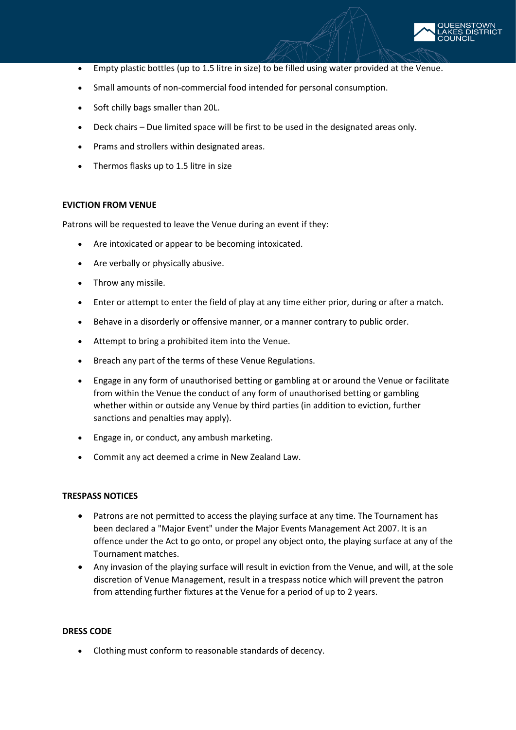

- Empty plastic bottles (up to 1.5 litre in size) to be filled using water provided at the Venue.
- Small amounts of non-commercial food intended for personal consumption.
- Soft chilly bags smaller than 20L.
- Deck chairs Due limited space will be first to be used in the designated areas only.
- Prams and strollers within designated areas.
- Thermos flasks up to 1.5 litre in size

## **EVICTION FROM VENUE**

Patrons will be requested to leave the Venue during an event if they:

- Are intoxicated or appear to be becoming intoxicated.
- Are verbally or physically abusive.
- Throw any missile.
- Enter or attempt to enter the field of play at any time either prior, during or after a match.
- Behave in a disorderly or offensive manner, or a manner contrary to public order.
- Attempt to bring a prohibited item into the Venue.
- Breach any part of the terms of these Venue Regulations.
- Engage in any form of unauthorised betting or gambling at or around the Venue or facilitate from within the Venue the conduct of any form of unauthorised betting or gambling whether within or outside any Venue by third parties (in addition to eviction, further sanctions and penalties may apply).
- Engage in, or conduct, any ambush marketing.
- Commit any act deemed a crime in New Zealand Law.

## **TRESPASS NOTICES**

- Patrons are not permitted to access the playing surface at any time. The Tournament has been declared a "Major Event" under the Major Events Management Act 2007. It is an offence under the Act to go onto, or propel any object onto, the playing surface at any of the Tournament matches.
- Any invasion of the playing surface will result in eviction from the Venue, and will, at the sole discretion of Venue Management, result in a trespass notice which will prevent the patron from attending further fixtures at the Venue for a period of up to 2 years.

# **DRESS CODE**

• Clothing must conform to reasonable standards of decency.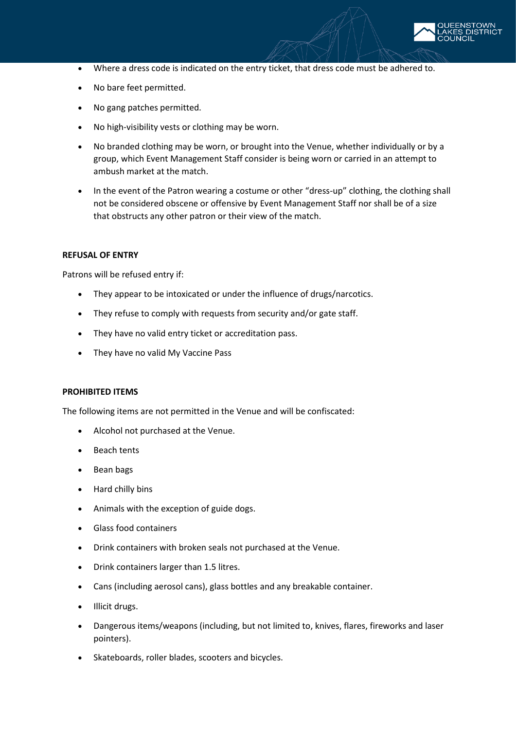

- Where a dress code is indicated on the entry ticket, that dress code must be adhered to.
- No bare feet permitted.
- No gang patches permitted.
- No high-visibility vests or clothing may be worn.
- No branded clothing may be worn, or brought into the Venue, whether individually or by a group, which Event Management Staff consider is being worn or carried in an attempt to ambush market at the match.
- In the event of the Patron wearing a costume or other "dress-up" clothing, the clothing shall not be considered obscene or offensive by Event Management Staff nor shall be of a size that obstructs any other patron or their view of the match.

### **REFUSAL OF ENTRY**

Patrons will be refused entry if:

- They appear to be intoxicated or under the influence of drugs/narcotics.
- They refuse to comply with requests from security and/or gate staff.
- They have no valid entry ticket or accreditation pass.
- They have no valid My Vaccine Pass

### **PROHIBITED ITEMS**

The following items are not permitted in the Venue and will be confiscated:

- Alcohol not purchased at the Venue.
- **Beach tents**
- Bean bags
- Hard chilly bins
- Animals with the exception of guide dogs.
- Glass food containers
- Drink containers with broken seals not purchased at the Venue.
- Drink containers larger than 1.5 litres.
- Cans (including aerosol cans), glass bottles and any breakable container.
- Illicit drugs.
- Dangerous items/weapons (including, but not limited to, knives, flares, fireworks and laser pointers).
- Skateboards, roller blades, scooters and bicycles.